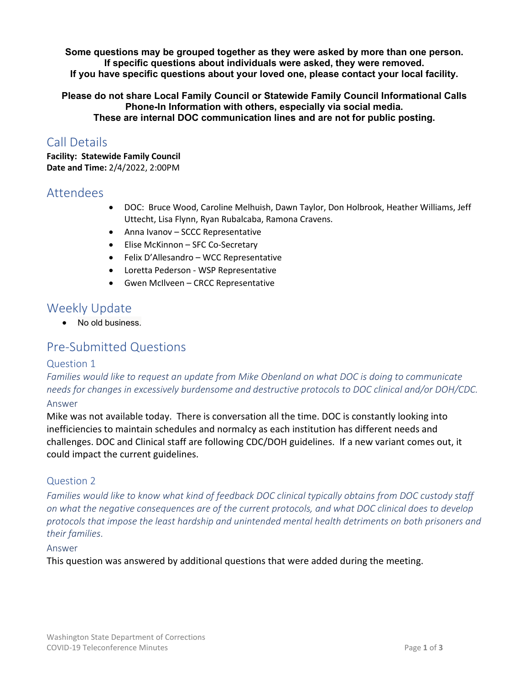**Some questions may be grouped together as they were asked by more than one person. If specific questions about individuals were asked, they were removed. If you have specific questions about your loved one, please contact your local facility.** 

**Please do not share Local Family Council or Statewide Family Council Informational Calls Phone-In Information with others, especially via social media. These are internal DOC communication lines and are not for public posting.**

## Call Details

**Facility: Statewide Family Council Date and Time:** 2/4/2022, 2:00PM

### Attendees

- DOC: Bruce Wood, Caroline Melhuish, Dawn Taylor, Don Holbrook, Heather Williams, Jeff Uttecht, Lisa Flynn, Ryan Rubalcaba, Ramona Cravens.
- Anna Ivanov SCCC Representative
- Elise McKinnon SFC Co-Secretary
- Felix D'Allesandro WCC Representative
- Loretta Pederson WSP Representative
- Gwen McIlveen CRCC Representative

### Weekly Update

• No old business.

## Pre-Submitted Questions

#### Question 1

*Families would like to request an update from Mike Obenland on what DOC is doing to communicate needs for changes in excessively burdensome and destructive protocols to DOC clinical and/or DOH/CDC.*

#### Answer

Mike was not available today. There is conversation all the time. DOC is constantly looking into inefficiencies to maintain schedules and normalcy as each institution has different needs and challenges. DOC and Clinical staff are following CDC/DOH guidelines. If a new variant comes out, it could impact the current guidelines.

#### Question 2

*Families would like to know what kind of feedback DOC clinical typically obtains from DOC custody staff on what the negative consequences are of the current protocols, and what DOC clinical does to develop protocols that impose the least hardship and unintended mental health detriments on both prisoners and their families*.

#### Answer

This question was answered by additional questions that were added during the meeting.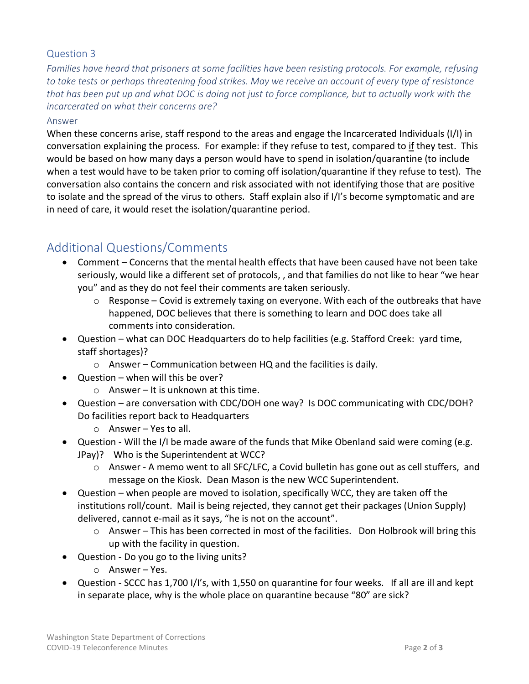#### Question 3

*Families have heard that prisoners at some facilities have been resisting protocols. For example, refusing to take tests or perhaps threatening food strikes. May we receive an account of every type of resistance that has been put up and what DOC is doing not just to force compliance, but to actually work with the incarcerated on what their concerns are?* 

#### Answer

When these concerns arise, staff respond to the areas and engage the Incarcerated Individuals (I/I) in conversation explaining the process. For example: if they refuse to test, compared to if they test. This would be based on how many days a person would have to spend in isolation/quarantine (to include when a test would have to be taken prior to coming off isolation/quarantine if they refuse to test). The conversation also contains the concern and risk associated with not identifying those that are positive to isolate and the spread of the virus to others. Staff explain also if I/I's become symptomatic and are in need of care, it would reset the isolation/quarantine period.

### Additional Questions/Comments

- Comment Concerns that the mental health effects that have been caused have not been take seriously, would like a different set of protocols, , and that families do not like to hear "we hear you" and as they do not feel their comments are taken seriously.
	- $\circ$  Response Covid is extremely taxing on everyone. With each of the outbreaks that have happened, DOC believes that there is something to learn and DOC does take all comments into consideration.
- Question what can DOC Headquarters do to help facilities (e.g. Stafford Creek: yard time, staff shortages)?
	- $\circ$  Answer Communication between HQ and the facilities is daily.
- Question when will this be over?
	- $\circ$  Answer It is unknown at this time.
- Question are conversation with CDC/DOH one way? Is DOC communicating with CDC/DOH? Do facilities report back to Headquarters
	- o Answer Yes to all.
- Question Will the I/I be made aware of the funds that Mike Obenland said were coming (e.g. JPay)? Who is the Superintendent at WCC?
	- $\circ$  Answer A memo went to all SFC/LFC, a Covid bulletin has gone out as cell stuffers, and message on the Kiosk. Dean Mason is the new WCC Superintendent.
- Question when people are moved to isolation, specifically WCC, they are taken off the institutions roll/count. Mail is being rejected, they cannot get their packages (Union Supply) delivered, cannot e-mail as it says, "he is not on the account".
	- $\circ$  Answer This has been corrected in most of the facilities. Don Holbrook will bring this up with the facility in question.
- Question Do you go to the living units?
	- o Answer Yes.
- Question SCCC has 1,700 I/I's, with 1,550 on quarantine for four weeks. If all are ill and kept in separate place, why is the whole place on quarantine because "80" are sick?